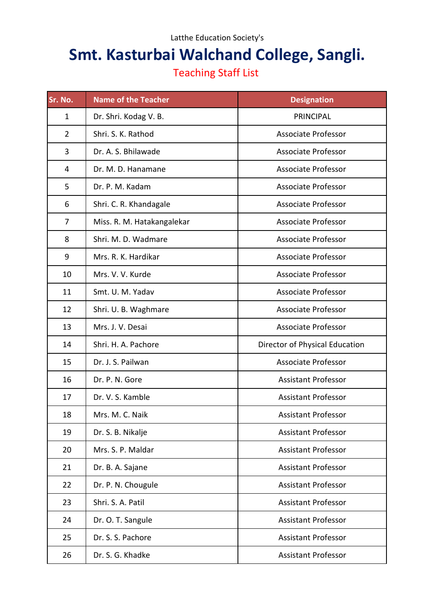## Latthe Education Society's

## **Smt. Kasturbai Walchand College, Sangli.**

## Teaching Staff List

| Sr. No.        | <b>Name of the Teacher</b> | <b>Designation</b>             |
|----------------|----------------------------|--------------------------------|
| $\mathbf{1}$   | Dr. Shri. Kodag V. B.      | <b>PRINCIPAL</b>               |
| $\overline{2}$ | Shri. S. K. Rathod         | Associate Professor            |
| 3              | Dr. A. S. Bhilawade        | <b>Associate Professor</b>     |
| 4              | Dr. M. D. Hanamane         | <b>Associate Professor</b>     |
| 5              | Dr. P. M. Kadam            | <b>Associate Professor</b>     |
| 6              | Shri. C. R. Khandagale     | <b>Associate Professor</b>     |
| 7              | Miss. R. M. Hatakangalekar | <b>Associate Professor</b>     |
| 8              | Shri. M. D. Wadmare        | <b>Associate Professor</b>     |
| 9              | Mrs. R. K. Hardikar        | <b>Associate Professor</b>     |
| 10             | Mrs. V. V. Kurde           | <b>Associate Professor</b>     |
| 11             | Smt. U. M. Yadav           | <b>Associate Professor</b>     |
| 12             | Shri. U. B. Waghmare       | <b>Associate Professor</b>     |
| 13             | Mrs. J. V. Desai           | <b>Associate Professor</b>     |
| 14             | Shri. H. A. Pachore        | Director of Physical Education |
| 15             | Dr. J. S. Pailwan          | <b>Associate Professor</b>     |
| 16             | Dr. P. N. Gore             | <b>Assistant Professor</b>     |
| 17             | Dr. V. S. Kamble           | <b>Assistant Professor</b>     |
| 18             | Mrs. M. C. Naik            | <b>Assistant Professor</b>     |
| 19             | Dr. S. B. Nikalje          | <b>Assistant Professor</b>     |
| 20             | Mrs. S. P. Maldar          | <b>Assistant Professor</b>     |
| 21             | Dr. B. A. Sajane           | <b>Assistant Professor</b>     |
| 22             | Dr. P. N. Chougule         | <b>Assistant Professor</b>     |
| 23             | Shri. S. A. Patil          | <b>Assistant Professor</b>     |
| 24             | Dr. O. T. Sangule          | <b>Assistant Professor</b>     |
| 25             | Dr. S. S. Pachore          | <b>Assistant Professor</b>     |
| 26             | Dr. S. G. Khadke           | <b>Assistant Professor</b>     |